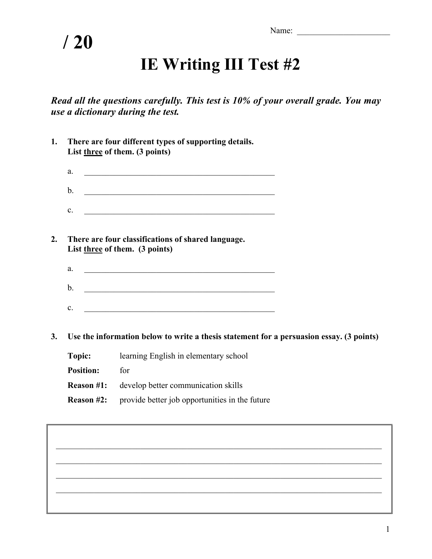Name: \_\_\_\_\_\_\_\_\_\_\_\_\_\_\_\_\_\_\_\_\_\_

## **/ 20**

## **IE Writing III Test #2**

*Read all the questions carefully. This test is 10% of your overall grade. You may use a dictionary during the test.*

| 1. |                   | There are four different types of supporting details.<br>List three of them. (3 points)                              |
|----|-------------------|----------------------------------------------------------------------------------------------------------------------|
|    | a.                | <u> 1989 - Jan James James James James James James James James James James James James James James James James J</u> |
|    | $\mathbf b$ .     | <u> 1989 - Johann John Stein, marwolaethau (b. 1989)</u>                                                             |
|    | c.                | <u> 1989 - Johann John Stein, marwolaeth a bhannaich an t-Amhain an t-Amhain an t-Amhain an t-Amhain an t-Amhain</u> |
| 2. |                   | There are four classifications of shared language.<br>List three of them. (3 points)                                 |
|    | a.                | <u> 1989 - Johann Barbara, margaret eta idazlea (h. 1989).</u>                                                       |
|    | $\mathbf b$ .     | <u> 1989 - Johann John Stone, mars eta bainar eta bainar eta baina eta baina eta baina eta baina eta baina eta b</u> |
|    | c.                | <u> 1989 - Jan James James James James James James James James James James James James James James James James J</u> |
| 3. |                   | Use the information below to write a thesis statement for a persuasion essay. (3 points)                             |
|    | Topic:            | learning English in elementary school                                                                                |
|    | <b>Position:</b>  | for                                                                                                                  |
|    | <b>Reason #1:</b> | develop better communication skills                                                                                  |
|    | <b>Reason #2:</b> | provide better job opportunities in the future                                                                       |
|    |                   |                                                                                                                      |
|    |                   |                                                                                                                      |

\_\_\_\_\_\_\_\_\_\_\_\_\_\_\_\_\_\_\_\_\_\_\_\_\_\_\_\_\_\_\_\_\_\_\_\_\_\_\_\_\_\_\_\_\_\_\_\_\_\_\_\_\_\_\_\_\_\_\_\_\_\_\_\_\_\_\_\_\_\_\_\_\_\_\_\_\_

 $\mathcal{L}_\text{max} = \frac{1}{2} \sum_{i=1}^{n} \frac{1}{2} \sum_{i=1}^{n} \frac{1}{2} \sum_{i=1}^{n} \frac{1}{2} \sum_{i=1}^{n} \frac{1}{2} \sum_{i=1}^{n} \frac{1}{2} \sum_{i=1}^{n} \frac{1}{2} \sum_{i=1}^{n} \frac{1}{2} \sum_{i=1}^{n} \frac{1}{2} \sum_{i=1}^{n} \frac{1}{2} \sum_{i=1}^{n} \frac{1}{2} \sum_{i=1}^{n} \frac{1}{2} \sum_{i=1}^{n} \frac{1$ 

 $\mathcal{L}_\text{max}$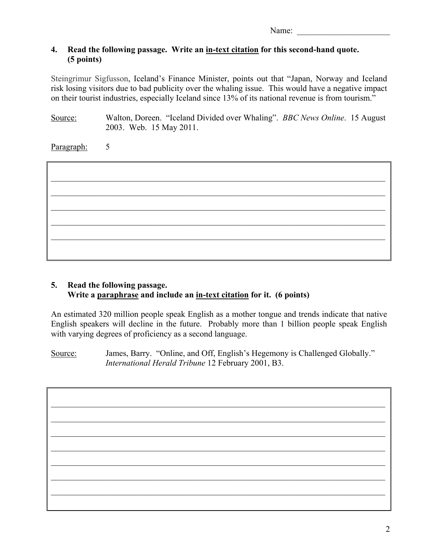Name: \_\_\_\_\_\_\_\_\_\_\_\_\_\_\_\_\_\_\_\_\_\_

## **4. Read the following passage. Write an in-text citation for this second-hand quote. (5 points)**

Steingrimur Sigfusson, Iceland's Finance Minister, points out that "Japan, Norway and Iceland risk losing visitors due to bad publicity over the whaling issue. This would have a negative impact on their tourist industries, especially Iceland since 13% of its national revenue is from tourism."

Source: Walton, Doreen. "Iceland Divided over Whaling". *BBC News Online*. 15 August 2003. Web. 15 May 2011.

Paragraph: 5



## **5. Read the following passage. Write a paraphrase and include an in-text citation for it. (6 points)**

An estimated 320 million people speak English as a mother tongue and trends indicate that native English speakers will decline in the future. Probably more than 1 billion people speak English with varying degrees of proficiency as a second language.

Source: James, Barry. "Online, and Off, English's Hegemony is Challenged Globally." *International Herald Tribune* 12 February 2001, B3.